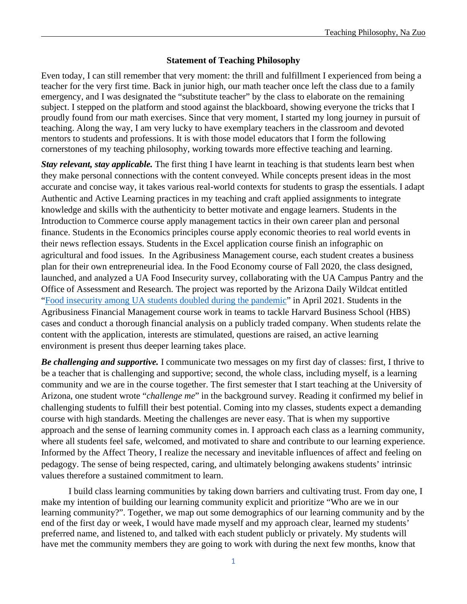## **Statement of Teaching Philosophy**

Even today, I can still remember that very moment: the thrill and fulfillment I experienced from being a teacher for the very first time. Back in junior high, our math teacher once left the class due to a family emergency, and I was designated the "substitute teacher" by the class to elaborate on the remaining subject. I stepped on the platform and stood against the blackboard, showing everyone the tricks that I proudly found from our math exercises. Since that very moment, I started my long journey in pursuit of teaching. Along the way, I am very lucky to have exemplary teachers in the classroom and devoted mentors to students and professions. It is with those model educators that I form the following cornerstones of my teaching philosophy, working towards more effective teaching and learning.

*Stay relevant, stay applicable.* The first thing I have learnt in teaching is that students learn best when they make personal connections with the content conveyed. While concepts present ideas in the most accurate and concise way, it takes various real-world contexts for students to grasp the essentials. I adapt Authentic and Active Learning practices in my teaching and craft applied assignments to integrate knowledge and skills with the authenticity to better motivate and engage learners. Students in the Introduction to Commerce course apply management tactics in their own career plan and personal finance. Students in the Economics principles course apply economic theories to real world events in their news reflection essays. Students in the Excel application course finish an infographic on agricultural and food issues. In the Agribusiness Management course, each student creates a business plan for their own entrepreneurial idea. In the Food Economy course of Fall 2020, the class designed, launched, and analyzed a UA Food Insecurity survey, collaborating with the UA Campus Pantry and the Office of Assessment and Research. The project was reported by the Arizona Daily Wildcat entitled ["Food insecurity among UA students doubled during the pandemic"](https://www.wildcat.arizona.edu/article/2021/04/n-food-insecurity-2021) in April 2021. Students in the Agribusiness Financial Management course work in teams to tackle Harvard Business School (HBS) cases and conduct a thorough financial analysis on a publicly traded company. When students relate the content with the application, interests are stimulated, questions are raised, an active learning environment is present thus deeper learning takes place.

*Be challenging and supportive.* I communicate two messages on my first day of classes: first, I thrive to be a teacher that is challenging and supportive; second, the whole class, including myself, is a learning community and we are in the course together. The first semester that I start teaching at the University of Arizona, one student wrote "*challenge me*" in the background survey. Reading it confirmed my belief in challenging students to fulfill their best potential. Coming into my classes, students expect a demanding course with high standards. Meeting the challenges are never easy. That is when my supportive approach and the sense of learning community comes in. I approach each class as a learning community, where all students feel safe, welcomed, and motivated to share and contribute to our learning experience. Informed by the Affect Theory, I realize the necessary and inevitable influences of affect and feeling on pedagogy. The sense of being respected, caring, and ultimately belonging awakens students' intrinsic values therefore a sustained commitment to learn.

I build class learning communities by taking down barriers and cultivating trust. From day one, I make my intention of building our learning community explicit and prioritize "Who are we in our learning community?". Together, we map out some demographics of our learning community and by the end of the first day or week, I would have made myself and my approach clear, learned my students' preferred name, and listened to, and talked with each student publicly or privately. My students will have met the community members they are going to work with during the next few months, know that